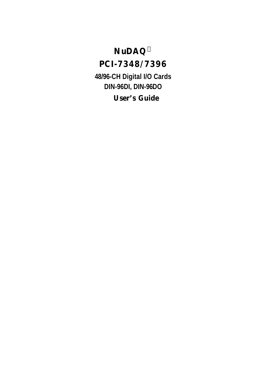# **NuDAQ<sup>Ò</sup>**

# **PCI-7348/7396**

**48/96-CH Digital I/O Cards DIN-96DI, DIN-96DO User's Guide**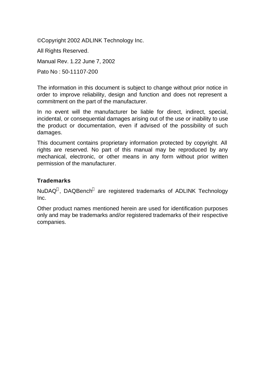©Copyright 2002 ADLINK Technology Inc.

All Rights Reserved.

Manual Rev. 1.22 June 7, 2002

Pato No : 50-11107-200

The information in this document is subject to change without prior notice in order to improve reliability, design and function and does not represent a commitment on the part of the manufacturer.

In no event will the manufacturer be liable for direct, indirect, special, incidental, or consequential damages arising out of the use or inability to use the product or documentation, even if advised of the possibility of such damages.

This document contains proprietary information protected by copyright. All rights are reserved. No part of this manual may be reproduced by any mechanical, electronic, or other means in any form without prior written permission of the manufacturer.

#### **Trademarks**

NuDAQ<sup>®</sup>, DAQBench<sup>®</sup> are registered trademarks of ADLINK Technology Inc.

Other product names mentioned herein are used for identification purposes only and may be trademarks and/or registered trademarks of their respective companies.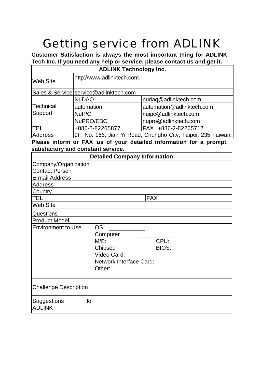# Getting service from ADLINK

**Customer Satisfaction is always the most important thing for ADLINK Tech Inc. If you need any help or service, please contact us and get it.**

| <b>ADLINK Technology Inc.</b> |                                         |                                                              |  |  |  |  |
|-------------------------------|-----------------------------------------|--------------------------------------------------------------|--|--|--|--|
| Web Site                      | http://www.adlinktech.com               |                                                              |  |  |  |  |
|                               | Sales & Service service@adlinktech.com  |                                                              |  |  |  |  |
|                               | <b>NuDAQ</b>                            | Inudag@adlinktech.com                                        |  |  |  |  |
| Technical                     | automation@adlinktech.com<br>automation |                                                              |  |  |  |  |
| Support                       | <b>NuIPC</b>                            | nuipc@adlinktech.com                                         |  |  |  |  |
|                               | NuPRO/EBC                               | nupro@adlinktech.com                                         |  |  |  |  |
| ITEL                          | +886-2-82265877                         | FAX +886-2-82265717                                          |  |  |  |  |
| <b>Address</b>                |                                         | 9F, No. 166, Jian Yi Road, Chungho City, Taipei, 235 Taiwan, |  |  |  |  |

**Please inform or FAX us of your detailed information for a prompt, satisfactory and constant service.** 

| <b>Detailed Company Information</b> |                                                                                                             |  |  |  |  |
|-------------------------------------|-------------------------------------------------------------------------------------------------------------|--|--|--|--|
| Company/Organization                |                                                                                                             |  |  |  |  |
| <b>Contact Person</b>               |                                                                                                             |  |  |  |  |
| E-mail Address                      |                                                                                                             |  |  |  |  |
| <b>Address</b>                      |                                                                                                             |  |  |  |  |
| Country                             |                                                                                                             |  |  |  |  |
| <b>TEL</b>                          | <b>FAX</b>                                                                                                  |  |  |  |  |
| <b>Web Site</b>                     |                                                                                                             |  |  |  |  |
| Questions                           |                                                                                                             |  |  |  |  |
| <b>Product Model</b>                |                                                                                                             |  |  |  |  |
| <b>Environment to Use</b>           | OS:<br>Computer<br>$M/B$ :<br>CPU:<br>BIOS:<br>Chipset:<br>Video Card:<br>Network Interface Card:<br>Other: |  |  |  |  |
| <b>Challenge Description</b>        |                                                                                                             |  |  |  |  |
| Suggestions<br>to<br><b>ADLINK</b>  |                                                                                                             |  |  |  |  |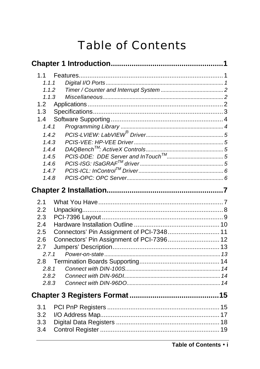# **Table of Contents**

| 1.1   |                                           |  |
|-------|-------------------------------------------|--|
| 1.1.1 |                                           |  |
| 1.1.2 |                                           |  |
| 1.1.3 |                                           |  |
| 1.2   |                                           |  |
| 1.3   |                                           |  |
| 1.4   |                                           |  |
| 1.4.1 |                                           |  |
| 1.4.2 |                                           |  |
| 1.4.3 |                                           |  |
| 1.4.4 |                                           |  |
| 1.4.5 |                                           |  |
| 1.4.6 |                                           |  |
| 1.4.7 |                                           |  |
| 1.4.8 |                                           |  |
|       |                                           |  |
| 2.1   |                                           |  |
| 2.2   |                                           |  |
| 2.3   |                                           |  |
| 2.4   |                                           |  |
| 2.5   | Connectors' Pin Assignment of PCI-7348 11 |  |
| 2.6   | Connectors' Pin Assignment of PCI-7396 12 |  |
| 2.7   |                                           |  |
|       | 2.7.1                                     |  |
|       |                                           |  |
| 2.8.1 |                                           |  |
| 2.8.2 |                                           |  |
| 2.8.3 |                                           |  |
|       |                                           |  |
| 3.1   |                                           |  |
| 3.2   |                                           |  |
| 3.3   |                                           |  |
|       |                                           |  |
| 3.4   |                                           |  |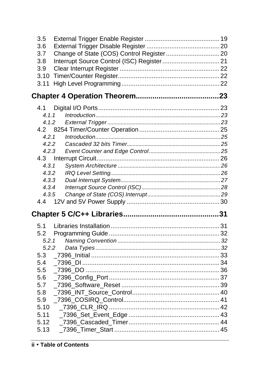| 3.5<br>3.6<br>3.7<br>3.8 |  |
|--------------------------|--|
| 3.9<br>3.10<br>3.11      |  |
|                          |  |
| 4.1                      |  |
| 4.1.1                    |  |
| 4.1.2                    |  |
| 4.2                      |  |
| 4.2.1                    |  |
| 4.2.2                    |  |
| 4.2.3                    |  |
|                          |  |
| 4.3.1                    |  |
| 4.3.2                    |  |
| 4.3.3<br>4.3.4           |  |
| 4.3.5                    |  |
| 4.4                      |  |
|                          |  |
|                          |  |
| 5.1                      |  |
| 5.2                      |  |
| 5.2.1                    |  |
|                          |  |
| 5.2.2                    |  |
| 5.3                      |  |
| 5.4                      |  |
| 5.5                      |  |
| 5.6                      |  |
| 5.7                      |  |
| 5.8                      |  |
| 5.9                      |  |
| 5.10                     |  |
| 5.11                     |  |
| 5.12<br>5.13             |  |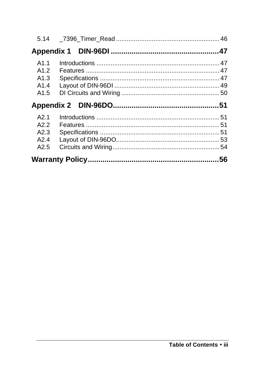| A1.1             |  |
|------------------|--|
| A1.2             |  |
| A1.3             |  |
| A1.4             |  |
| A1.5             |  |
|                  |  |
|                  |  |
| A2.1             |  |
| A22              |  |
| A2.3             |  |
| A2.4             |  |
| A <sub>2.5</sub> |  |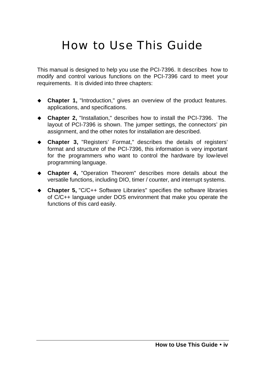# How to Use This Guide

This manual is designed to help you use the PCI-7396. It describes how to modify and control various functions on the PCI-7396 card to meet your requirements. It is divided into three chapters:

- ◆ **Chapter 1,** "Introduction," gives an overview of the product features. applications, and specifications.
- u **Chapter 2,** "Installation," describes how to install the PCI-7396. The layout of PCI-7396 is shown. The jumper settings, the connectors' pin assignment, and the other notes for installation are described.
- u **Chapter 3,** "Registers' Format," describes the details of registers' format and structure of the PCI-7396, this information is very important for the programmers who want to control the hardware by low-level programming language.
- ◆ Chapter 4, "Operation Theorem" describes more details about the versatile functions, including DIO, timer / counter, and interrupt systems.
- ◆ **Chapter 5.** "C/C++ Software Libraries" specifies the software libraries of C/C++ language under DOS environment that make you operate the functions of this card easily.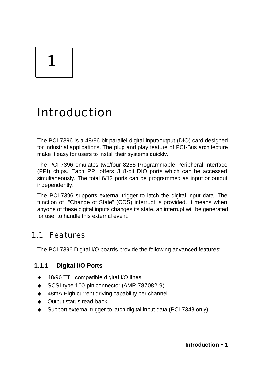# 1

# Introduction

The PCI-7396 is a 48/96-bit parallel digital input/output (DIO) card designed for industrial applications. The plug and play feature of PCI-Bus architecture make it easy for users to install their systems quickly.

The PCI-7396 emulates two/four 8255 Programmable Peripheral Interface (PPI) chips. Each PPI offers 3 8-bit DIO ports which can be accessed simultaneously. The total 6/12 ports can be programmed as input or output independently.

The PCI-7396 supports external trigger to latch the digital input data. The function of "Change of State" (COS) interrupt is provided. It means when anyone of these digital inputs changes its state, an interrupt will be generated for user to handle this external event.

## 1.1 Features

The PCI-7396 Digital I/O boards provide the following advanced features:

#### **1.1.1 Digital I/O Ports**

- ◆ 48/96 TTL compatible digital I/O lines
- $\bullet$  SCSI-type 100-pin connector (AMP-787082-9)
- $\triangleq$  48mA High current driving capability per channel
- $\triangleleft$  Output status read-back
- $\bullet$  Support external trigger to latch digital input data (PCI-7348 only)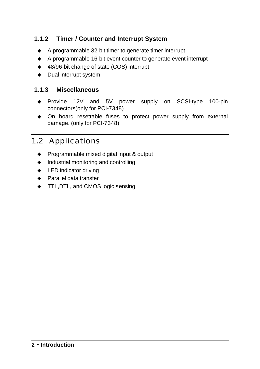#### **1.1.2 Timer / Counter and Interrupt System**

- $\triangle$  A programmable 32-bit timer to generate timer interrupt
- $\triangle$  A programmable 16-bit event counter to generate event interrupt
- ◆ 48/96-bit change of state (COS) interrupt
- $\triangleleft$  Dual interrupt system

#### **1.1.3 Miscellaneous**

- ◆ Provide 12V and 5V power supply on SCSI-type 100-pin connectors(only for PCI-7348)
- $\bullet$  On board resettable fuses to protect power supply from external damage. (only for PCI-7348)

# 1.2 Applications

- ◆ Programmable mixed digital input & output
- $\bullet$  Industrial monitoring and controlling
- $\triangleleft$  LED indicator driving
- $\leftarrow$  Parallel data transfer
- TTL, DTL, and CMOS logic sensing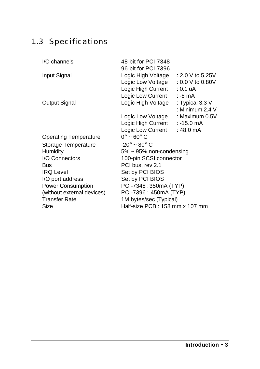# 1.3 Specifications

| 48-bit for PCI-7348             |                    |
|---------------------------------|--------------------|
| 96-bit for PCI-7396             |                    |
| Logic High Voltage              | $: 2.0 V$ to 5.25V |
| Logic Low Voltage               | $: 0.0 V$ to 0.80V |
| Logic High Current              | : 0.1 uA           |
| Logic Low Current               | : -8 mA            |
| Logic High Voltage              | : Typical 3.3 V    |
|                                 | : Minimum 2.4 V    |
| Logic Low Voltage               | : Maximum 0.5V     |
| Logic High Current              | : -15.0 mA         |
| Logic Low Current               | : 48.0 mA          |
| $0^\circ \sim 60^\circ$ C       |                    |
| $-20^\circ \sim 80^\circ$ C     |                    |
| $5\% \sim 95\%$ non-condensing  |                    |
| 100-pin SCSI connector          |                    |
| PCI bus, rev 2.1                |                    |
| Set by PCI BIOS                 |                    |
| Set by PCI BIOS                 |                    |
| PCI-7348:350mA (TYP)            |                    |
| PCI-7396 : 450mA (TYP)          |                    |
| 1M bytes/sec (Typical)          |                    |
| Half-size PCB : 158 mm x 107 mm |                    |
|                                 |                    |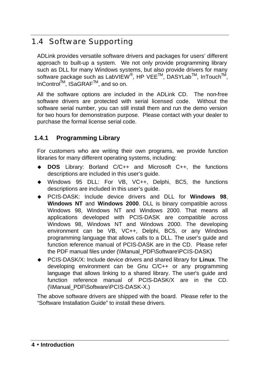# 1.4 Software Supporting

ADLink provides versatile software drivers and packages for users' different approach to built-up a system. We not only provide programming library such as DLL for many Windows systems, but also provide drivers for many software package such as LabVIEW®, HP VEE™, DASYLab™, InTouch™, InControl<sup>™</sup>, ISaGRAF<sup>™</sup>, and so on.

All the software options are included in the ADLink CD. The non-free software drivers are protected with serial licensed code. Without the software serial number, you can still install them and run the demo version for two hours for demonstration purpose. Please contact with your dealer to purchase the formal license serial code.

#### **1.4.1 Programming Library**

For customers who are writing their own programs, we provide function libraries for many different operating systems, including:

- ◆ **DOS** Library: Borland C/C++ and Microsoft C++, the functions descriptions are included in this user's guide.
- ◆ Windows 95 DLL: For VB, VC++, Delphi, BC5, the functions descriptions are included in this user's guide.
- ◆ PCIS-DASK: Include device drivers and DLL for **Windows 98**, **Windows NT** and **Windows 2000**. DLL is binary compatible across Windows 98, Windows NT and Windows 2000. That means all applications developed with PCIS-DASK are compatible across Windows 98, Windows NT and Windows 2000. The developing environment can be VB, VC++, Delphi, BC5, or any Windows programming language that allows calls to a DLL. The user's guide and function reference manual of PCIS-DASK are in the CD. Please refer the PDF manual files under (\\Manual\_PDF\Software\PCIS-DASK)
- ◆ PCIS-DASK/X: Include device drivers and shared library for **Linux**. The developing environment can be Gnu C/C++ or any programming language that allows linking to a shared library. The user's guide and function reference manual of PCIS-DASK/X are in the CD. (\\Manual\_PDF\Software\PCIS-DASK-X.)

The above software drivers are shipped with the board. Please refer to the "Software Installation Guide" to install these drivers.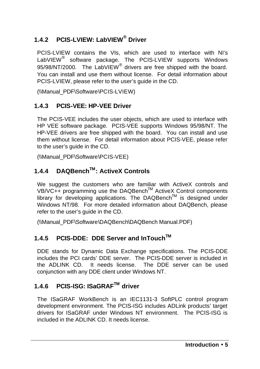## **1.4.2 PCIS-LVIEW: LabVIEW® Driver**

PCIS-LVIEW contains the VIs, which are used to interface with NI's LabVIEW® software package. The PCIS-LVIEW supports Windows 95/98/NT/2000. The LabVIEW<sup>®</sup> drivers are free shipped with the board. You can install and use them without license. For detail information about PCIS-LVIEW, please refer to the user's guide in the CD.

(\\Manual\_PDF\Software\PCIS-LVIEW)

#### **1.4.3 PCIS-VEE: HP-VEE Driver**

The PCIS-VEE includes the user objects, which are used to interface with HP VEE software package. PCIS-VEE supports Windows 95/98/NT. The HP-VEE drivers are free shipped with the board. You can install and use them without license. For detail information about PCIS-VEE, please refer to the user's guide in the CD.

(\\Manual\_PDF\Software\PCIS-VEE)

# **1.4.4 DAQBenchTM: ActiveX Controls**

We suggest the customers who are familiar with ActiveX controls and VB/VC++ programming use the DAQBench™ ActiveX Control components library for developing applications. The DAQBench™ is designed under Windows NT/98. For more detailed information about DAQBench, please refer to the user's guide in the CD.

(\\Manual\_PDF\Software\DAQBench\DAQBench Manual.PDF)

### **1.4.5 PCIS-DDE: DDE Server and InTouchTM**

DDE stands for Dynamic Data Exchange specifications. The PCIS-DDE includes the PCI cards' DDE server. The PCIS-DDE server is included in the ADLINK CD. It needs license. The DDE server can be used conjunction with any DDE client under Windows NT.

#### **1.4.6 PCIS-ISG: ISaGRAFTM driver**

The ISaGRAF WorkBench is an IEC1131-3 SoftPLC control program development environment. The PCIS-ISG includes ADLink products' target drivers for ISaGRAF under Windows NT environment. The PCIS-ISG is included in the ADLINK CD. It needs license.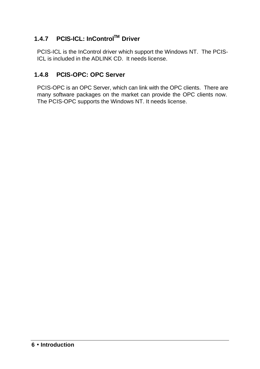# **1.4.7 PCIS-ICL: InControlTM Driver**

PCIS-ICL is the InControl driver which support the Windows NT. The PCIS-ICL is included in the ADLINK CD. It needs license.

#### **1.4.8 PCIS-OPC: OPC Server**

PCIS-OPC is an OPC Server, which can link with the OPC clients. There are many software packages on the market can provide the OPC clients now. The PCIS-OPC supports the Windows NT. It needs license.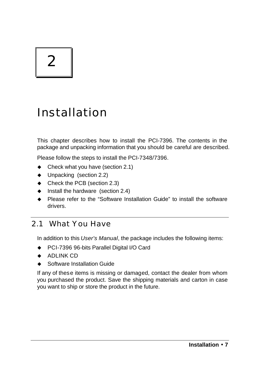# 2

# Installation

This chapter describes how to install the PCI-7396. The contents in the package and unpacking information that you should be careful are described.

Please follow the steps to install the PCI-7348/7396.

- $\blacklozenge$  Check what you have (section 2.1)
- $\blacklozenge$  Unpacking (section 2.2)
- $\leftarrow$  Check the PCB (section 2.3)
- $\bullet$  Install the hardware (section 2.4)
- $\bullet$  Please refer to the "Software Installation Guide" to install the software drivers.

### 2.1 What You Have

In addition to this *User's Manual*, the package includes the following items:

- ◆ PCI-7396 96-bits Parallel Digital I/O Card
- $\triangle$  ADI INK CD
- $\triangle$  Software Installation Guide

If any of these items is missing or damaged, contact the dealer from whom you purchased the product. Save the shipping materials and carton in case you want to ship or store the product in the future.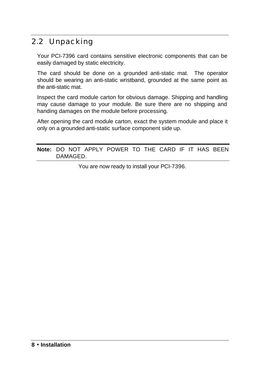# 2.2 Unpacking

Your PCI-7396 card contains sensitive electronic components that can be easily damaged by static electricity.

The card should be done on a grounded anti-static mat. The operator should be wearing an anti-static wristband, grounded at the same point as the anti-static mat.

Inspect the card module carton for obvious damage. Shipping and handling may cause damage to your module. Be sure there are no shipping and handing damages on the module before processing.

After opening the card module carton, exact the system module and place it only on a grounded anti-static surface component side up.

#### **Note:** DO NOT APPLY POWER TO THE CARD IF IT HAS BEEN DAMAGED.

You are now ready to install your PCI-7396.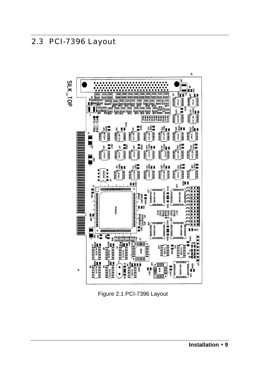2.3 PCI-7396 Layout



Figure 2.1 PCI-7396 Layout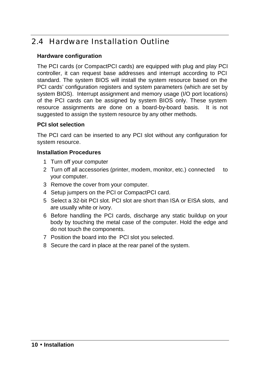# 2.4 Hardware Installation Outline

#### **Hardware configuration**

The PCI cards (or CompactPCI cards) are equipped with plug and play PCI controller, it can request base addresses and interrupt according to PCI standard. The system BIOS will install the system resource based on the PCI cards' configuration registers and system parameters (which are set by system BIOS). Interrupt assignment and memory usage (I/O port locations) of the PCI cards can be assigned by system BIOS only. These system resource assignments are done on a board-by-board basis. It is not suggested to assign the system resource by any other methods.

#### **PCI slot selection**

The PCI card can be inserted to any PCI slot without any configuration for system resource.

#### **Installation Procedures**

- 1 Turn off your computer
- 2 Turn off all accessories (printer, modem, monitor, etc.) connected to your computer.
- 3 Remove the cover from your computer.
- 4 Setup jumpers on the PCI or CompactPCI card.
- 5 Select a 32-bit PCI slot. PCI slot are short than ISA or EISA slots, and are usually white or ivory.
- 6 Before handling the PCI cards, discharge any static buildup on your body by touching the metal case of the computer. Hold the edge and do not touch the components.
- 7 Position the board into the PCI slot you selected.
- 8 Secure the card in place at the rear panel of the system.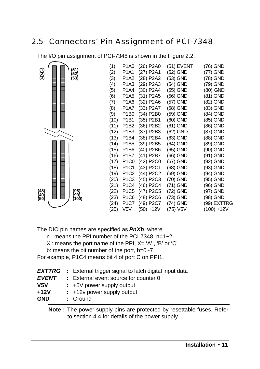# 2.5 Connectors' Pin Assignment of PCI-7348

The I/O pin assignment of PCI-7348 is shown in the Figure 2.2. **(1) (2) (3) (51)** (1) P1A0 (26) P2A0 (51) EVENT (76) GND (2) P1A1 (27) P2A1 (52) GND (77) GND



The DIO pin names are specified as *PnXb*, where

n : means the PPI number of the PCI-7348, n=1~2

 $X:$  means the port name of the PPI,  $X = 'A'$ , 'B' or 'C'

b: means the bit number of the port, b=0~7

For example, P1C4 means bit 4 of port C on PPI1.

| <b>EVENT</b><br>V5V<br>$+12V$<br><b>GND</b> | <b>EXTTRG</b> : External trigger signal to latch digital input data<br>: External event source for counter 0<br>$: +5V$ power supply output<br>$\div$ +12 $\nu$ power supply output<br>: Ground |
|---------------------------------------------|-------------------------------------------------------------------------------------------------------------------------------------------------------------------------------------------------|
|                                             | <b>Note:</b> The power supply pins are protected by resettable fuses. Refer<br>to section 4.4 for details of the power supply.                                                                  |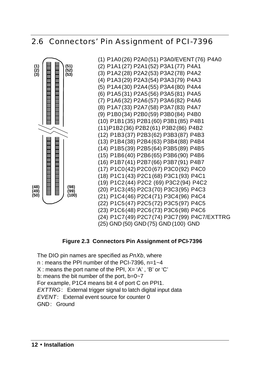# 2.6 Connectors' Pin Assignment of PCI-7396



(1) P1A0(26) P2A0(51) P3A0/EVENT (76) P4A0 (2) P1A1(27) P2A1(52) P3A1(77) P4A1 (3) P1A2(28) P2A2(53) P3A2(78) P4A2 (4) P1A3(29) P2A3(54) P3A3(79) P4A3 (5) P1A4(30) P2A4(55) P3A4(80) P4A4 (6) P1A5(31) P2A5(56) P3A5(81) P4A5 (7) P1A6(32) P2A6(57) P3A6(82) P4A6 (8) P1A7(33) P2A7(58) P3A7(83) P4A7 (9) P1B0(34) P2B0(59) P3B0(84) P4B0 (10) P1B1(35) P2B1(60) P3B1(85) P4B1 (11)P1B2(36) P2B2(61) P3B2(86) P4B2 (12) P1B3(37) P2B3(62) P3B3(87) P4B3 (13) P1B4(38) P2B4(63) P3B4(88) P4B4 (14) P1B5(39) P2B5(64) P3B5(89) P4B5 (15) P1B6(40) P2B6(65) P3B6(90) P4B6 (16) P1B7(41) P2B7(66) P3B7(91) P4B7 (17) P1C0(42) P2C0(67) P3C0(92) P4C0 (18) P1C1(43) P2C1(68) P3C1(93) P4C1 (19) P1C2(44) P2C2 (69) P3C2(94) P4C2 (20) P1C3(45) P2C3(70) P3C3(95) P4C3 (21) P1C4(46) P2C4(71) P3C4(96) P4C4 (22) P1C5(47) P2C5(72) P3C5(97) P4C5 (23) P1C6(48) P2C6(73) P3C6(98) P4C6 (24) P1C7(49) P2C7(74) P3C7(99) P4C7/EXTTRG (25) GND (50) GND (75) GND (100) GND

#### **Figure 2.3 Connectors Pin Assignment of PCI-7396**

The DIO pin names are specified as *PnXb*, where n : means the PPI number of the PCI-7396, n=1~4  $X:$  means the port name of the PPI,  $X = 'A'$ , 'B' or 'C' b: means the bit number of the port, b=0~7 For example, P1C4 means bit 4 of port C on PPI1. *EXTTRG*: External trigger signal to latch digital input data *EVENT*: External event source for counter 0 GND: Ground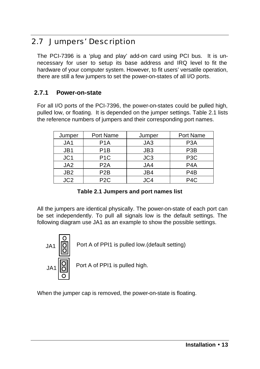# 2.7 Jumpers' Description

The PCI-7396 is a 'plug and play' add-on card using PCI bus. It is unnecessary for user to setup its base address and IRQ level to fit the hardware of your computer system. However, to fit users' versatile operation, there are still a few jumpers to set the power-on-states of all I/O ports.

#### **2.7.1 Power-on-state**

For all I/O ports of the PCI-7396, the power-on-states could be pulled high, pulled low, or floating. It is depended on the jumper settings. Table 2.1 lists the reference numbers of jumpers and their corresponding port names.

| Jumper          | Port Name        | Jumper          | Port Name        |
|-----------------|------------------|-----------------|------------------|
| JA1             | P <sub>1</sub> A | JA3             | P <sub>3</sub> A |
| JB1             | P <sub>1</sub> B | JB <sub>3</sub> | P <sub>3</sub> B |
| JC <sub>1</sub> | P <sub>1</sub> C | JC3             | P <sub>3</sub> C |
| JA <sub>2</sub> | P <sub>2</sub> A | JA4             | P <sub>4</sub> A |
| JB <sub>2</sub> | P <sub>2</sub> B | JB4             | P <sub>4</sub> B |
| JC <sub>2</sub> | P <sub>2</sub> C | JC4             | P <sub>4</sub> C |

**Table 2.1 Jumpers and port names list**

All the jumpers are identical physically. The power-on-state of each port can be set independently. To pull all signals low is the default settings. The following diagram use JA1 as an example to show the possible settings.



When the jumper cap is removed, the power-on-state is floating.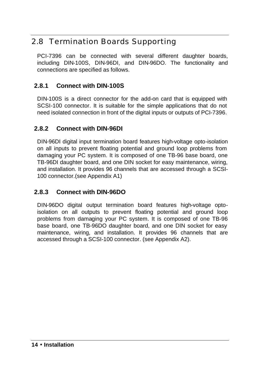# 2.8 Termination Boards Supporting

PCI-7396 can be connected with several different daughter boards, including DIN-100S, DIN-96DI, and DIN-96DO. The functionality and connections are specified as follows.

#### **2.8.1 Connect with DIN-100S**

DIN-100S is a direct connector for the add-on card that is equipped with SCSI-100 connector. It is suitable for the simple applications that do not need isolated connection in front of the digital inputs or outputs of PCI-7396.

#### **2.8.2 Connect with DIN-96DI**

DIN-96DI digital input termination board features high-voltage opto-isolation on all inputs to prevent floating potential and ground loop problems from damaging your PC system. It is composed of one TB-96 base board, one TB-96DI daughter board, and one DIN socket for easy maintenance, wiring, and installation. It provides 96 channels that are accessed through a SCSI-100 connector.(see Appendix A1)

#### **2.8.3 Connect with DIN-96DO**

DIN-96DO digital output termination board features high-voltage optoisolation on all outputs to prevent floating potential and ground loop problems from damaging your PC system. It is composed of one TB-96 base board, one TB-96DO daughter board, and one DIN socket for easy maintenance, wiring, and installation. It provides 96 channels that are accessed through a SCSI-100 connector. (see Appendix A2).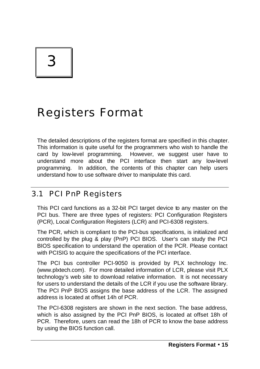# 3

# Registers Format

The detailed descriptions of the registers format are specified in this chapter. This information is quite useful for the programmers who wish to handle the card by low-level programming. However, we suggest user have to understand more about the PCI interface then start any low-level programming. In addition, the contents of this chapter can help users understand how to use software driver to manipulate this card.

# 3.1 PCI PnP Registers

This PCI card functions as a 32-bit PCI target device to any master on the PCI bus. There are three types of registers: PCI Configuration Registers (PCR), Local Configuration Registers (LCR) and PCI-6308 registers.

The PCR, which is compliant to the PCI-bus specifications, is initialized and controlled by the plug & play (PnP) PCI BIOS. User's can study the PCI BIOS specification to understand the operation of the PCR. Please contact with PCISIG to acquire the specifications of the PCI interface.

The PCI bus controller PCI-9050 is provided by PLX technology Inc. (www.plxtech.com). For more detailed information of LCR, please visit PLX technology's web site to download relative information. It is not necessary for users to understand the details of the LCR if you use the software library. The PCI PnP BIOS assigns the base address of the LCR. The assigned address is located at offset 14h of PCR.

The PCI-6308 registers are shown in the next section. The base address, which is also assigned by the PCI PnP BIOS, is located at offset 18h of PCR. Therefore, users can read the 18h of PCR to know the base address by using the BIOS function call.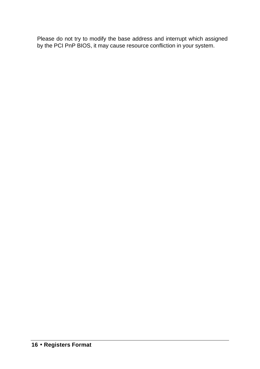Please do not try to modify the base address and interrupt which assigned by the PCI PnP BIOS, it may cause resource confliction in your system.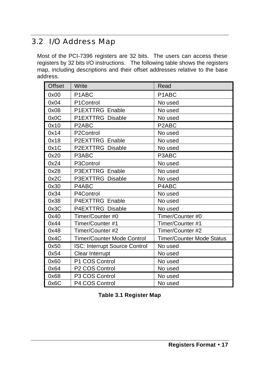# 3.2 I/O Address Map

Most of the PCI-7396 registers are 32 bits. The users can access these registers by 32 bits I/O instructions. The following table shows the registers map, including descriptions and their offset addresses relative to the base address.

| <b>Offset</b> | Write                         | Read                             |
|---------------|-------------------------------|----------------------------------|
| 0x00          | P <sub>1</sub> ABC            | P <sub>1</sub> ABC               |
| 0x04          | P1Control                     | No used                          |
| 0x08          | P1EXTTRG Enable               | No used                          |
| 0x0C          | P1EXTTRG Disable              | No used                          |
| 0x10          | P <sub>2</sub> ABC            | P <sub>2</sub> ABC               |
| 0x14          | P2Control                     | No used                          |
| 0x18          | P2EXTTRG Enable               | No used                          |
| 0x1C          | P2EXTTRG Disable              | No used                          |
| 0x20          | P3ABC                         | P3ABC                            |
| 0x24          | P3Control                     | No used                          |
| 0x28          | P3EXTTRG Enable               | No used                          |
| 0x2C          | P3EXTTRG Disable              | No used                          |
| 0x30          | P4ABC                         | P4ABC                            |
| 0x34          | P4Control                     | No used                          |
| 0x38          | P4EXTTRG Enable               | No used                          |
| 0x3C          | <b>P4EXTTRG Disable</b>       | No used                          |
| 0x40          | Timer/Counter #0              | Timer/Counter #0                 |
| 0x44          | Timer/Counter #1              | Timer/Counter #1                 |
| 0x48          | Timer/Counter #2              | Timer/Counter #2                 |
| 0x4C          | Timer/Counter Mode Control    | <b>Timer/Counter Mode Status</b> |
| 0x50          | ISC: Interrupt Source Control | No used                          |
| 0x54          | Clear Interrupt               | No used                          |
| 0x60          | P1 COS Control                | No used                          |
| 0x64          | P2 COS Control                | No used                          |
| 0x68          | P3 COS Control                | No used                          |
| 0x6C          | P4 COS Control                | No used                          |

|  |  | Table 3.1 Register Map |  |
|--|--|------------------------|--|
|--|--|------------------------|--|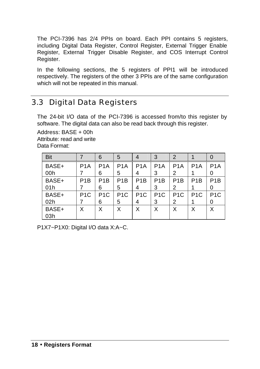The PCI-7396 has 2/4 PPIs on board. Each PPI contains 5 registers, including Digital Data Register, Control Register, External Trigger Enable Register, External Trigger Disable Register, and COS Interrupt Control Register.

In the following sections, the 5 registers of PPI1 will be introduced respectively. The registers of the other 3 PPIs are of the same configuration which will not be repeated in this manual.

# 3.3 Digital Data Registers

The 24-bit I/O data of the PCI-7396 is accessed from/to this register by software. The digital data can also be read back through this register.

Address: BASE + 00h Attribute: read and write Data Format:

| <b>Bit</b>   |                  | 6                     | 5                     | $\overline{4}$        | 3                     | 2                     |                  |                       |
|--------------|------------------|-----------------------|-----------------------|-----------------------|-----------------------|-----------------------|------------------|-----------------------|
| BASE+<br>00h | P <sub>1</sub> A | P <sub>1</sub> A<br>6 | P <sub>1</sub> A<br>5 | P <sub>1</sub> A<br>4 | P <sub>1</sub> A<br>3 | P <sub>1</sub> A<br>2 | P <sub>1</sub> A | P <sub>1</sub> A      |
| BASE+<br>01h | P <sub>1</sub> B | P <sub>1</sub> B<br>6 | P <sub>1</sub> B<br>5 | P <sub>1</sub> B<br>4 | P <sub>1</sub> B<br>3 | P <sub>1</sub> B<br>2 | P <sub>1</sub> B | P <sub>1</sub> B      |
| BASE+<br>02h | P <sub>1</sub> C | P <sub>1</sub> C<br>6 | P <sub>1</sub> C<br>5 | P <sub>1</sub> C<br>4 | P <sub>1</sub> C<br>3 | P <sub>1</sub> C<br>2 | P <sub>1</sub> C | P <sub>1</sub> C<br>0 |
| BASE+<br>03h | Χ                | X                     | X                     | X                     | X                     | Χ                     | Χ                | X                     |

P1X7~P1X0: Digital I/O data X:A~C.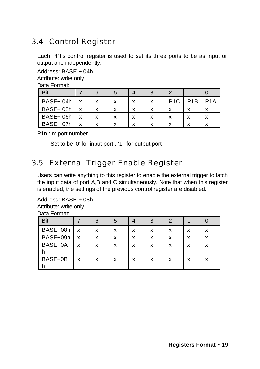# 3.4 Control Register

Each PPI's control register is used to set its three ports to be as input or output one independently.

Address: BASE + 04h Attribute: write only Data Format:

| <b>Bit</b> |   | 6 | 5 |   | ာ | າ                |                  |     |
|------------|---|---|---|---|---|------------------|------------------|-----|
| BASE+04h   | x | x | x | x | X | P <sub>1</sub> C | P <sub>1</sub> B | P1A |
| BASE+05h   | x | x | x | x | x | х                | x                | x   |
| BASE+06h   | x | x | x | x | x | х                | x                | x   |
| BASE+07h   | x | x | x |   | x | х                | x                | v   |

P1n : n: port number

Set to be '0' for input port , '1' for output port

# 3.5 External Trigger Enable Register

Users can write anything to this register to enable the external trigger to latch the input data of port A,B and C simultaneously. Note that when this register is enabled, the settings of the previous control register are disabled.

Address: BASE + 08h Attribute: write only Data Format:

| Bit      |   | 6 | 5 | $\overline{A}$ | 3 | 2 |   |   |
|----------|---|---|---|----------------|---|---|---|---|
| BASE+08h | X | x | x | x              | x | x | x | x |
| BASE+09h | x | x | x | x              | x | x | x | x |
| BASE+0A  | x | x | x | x              | x | x | x | x |
| BASE+0B  | x | x | x | x              | x | x | x | x |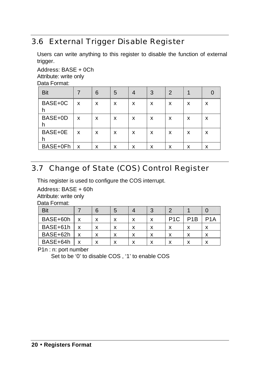# 3.6 External Trigger Disable Register

Users can write anything to this register to disable the function of external trigger.

Address: BASE + 0Ch Attribute: write only Data Format:

| <b>Bit</b>   |   | 6 | 5 | $\overline{4}$ | 3 | 2 |   |   |
|--------------|---|---|---|----------------|---|---|---|---|
| BASE+0C<br>h | x | x | x | x              | x | x | x | x |
| BASE+0D<br>h | X | x | x | x              | x | x | x | x |
| BASE+0E<br>h | X | x | x | x              | x | x | x | x |
| BASE+0Fh     | X | x | x | x              | x | x | x | x |

# 3.7 Change of State (COS) Control Register

This register is used to configure the COS interrupt.

Address: BASE + 60h Attribute: write only

Data Format:

| Bit      |   | 6 | 5 |   | 3 |                  |                  |                  |
|----------|---|---|---|---|---|------------------|------------------|------------------|
| BASE+60h | x | x | x | x | x | P <sub>1</sub> C | P <sub>1</sub> B | P <sub>1</sub> A |
| BASE+61h | x | x | x | х | x | x                | x                | x                |
| BASE+62h | x | x | x | x | x | x                | x                | v<br>ᄉ           |
| BASE+64h | x | x | x | x | x | x                | x                | v                |

P1n : n: port number

Set to be '0' to disable COS , '1' to enable COS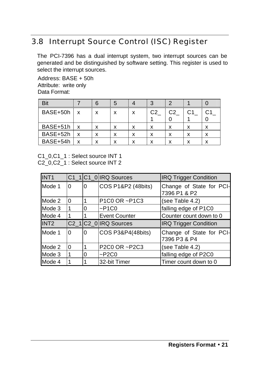# 3.8 Interrupt Source Control (ISC) Register

The PCI-7396 has a dual interrupt system, two interrupt sources can be generated and be distinguished by software setting. This register is used to select the interrupt sources.

Address: BASE + 50h Attribute: write only Data Format:

| <b>Bit</b> |   |   | G      |        | 3  |    |        |                   |
|------------|---|---|--------|--------|----|----|--------|-------------------|
| BASE+50h   | X | x | x      | x      | C2 | C2 | C1     |                   |
|            |   |   |        |        |    |    |        |                   |
| BASE+51h   | x | x | x      | х      | x  | x  | x      | x                 |
| BASE+52h   | x | x | x      | х      | x  | х  | x      | х                 |
| BASE+54h   | x | x | v<br>ᄉ | v<br>⋏ | x  | х  | v<br>⋏ | $\checkmark$<br>́ |

C1\_0,C1\_1 : Select source INT 1 C2\_0,C2\_1 : Select source INT 2

| INT <sub>1</sub> |   |          | C1_1 C1_0 IRQ Sources     | <b>IRQ Trigger Condition</b>             |
|------------------|---|----------|---------------------------|------------------------------------------|
| Mode 1           | 0 | $\Omega$ | COS P1&P2 (48bits)        | Change of State for PCI-<br>7396 P1 & P2 |
| Mode 2           | 0 |          | P1C0 OR ~P1C3             | (see Table 4.2)                          |
| Mode 3           |   | 0        | $~\sim$ P1C0              | falling edge of P1C0                     |
| Mode 4           |   |          | <b>Event Counter</b>      | Counter count down to 0                  |
|                  |   |          |                           |                                          |
| INT <sub>2</sub> |   |          | $C2$ 1 $C2$ 0 IRQ Sources | <b>IRQ Trigger Condition</b>             |
| Mode 1           | 0 | 0        | COS P3&P4(48bits)         | Change of State for PCI-<br>7396 P3 & P4 |
| Mode 2           | 0 |          | P2C0 OR ~P2C3             | (see Table 4.2)                          |
| Mode 3           |   | 0        | $~\sim$ P2C0              | falling edge of P2C0                     |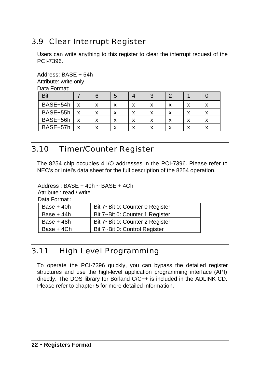# 3.9 Clear Interrupt Register

Users can write anything to this register to clear the interrupt request of the PCI-7396.

Address: BASE + 54h

Attribute: write only

Data Format:

| <b>Bit</b> |   | 6 | G |   | 3 |   |   |   |
|------------|---|---|---|---|---|---|---|---|
| BASE+54h   | x | x | x | x | x | x | x | х |
| BASE+55h   | x | x | x | x | x | x | x | х |
| BASE+56h   | X | x | x | х | x | x | x | x |
| BASE+57h   | X | x | x | x | x | x | х | х |

# 3.10 Timer/Counter Register

The 8254 chip occupies 4 I/O addresses in the PCI-7396. Please refer to NEC's or Intel's data sheet for the full description of the 8254 operation.

 $Address : BASE + 40h \sim BASE + 4Ch$ 

Attribute : read / write

Data Format :

| Base $+40h$ | Bit 7~Bit 0: Counter 0 Register |
|-------------|---------------------------------|
| Base $+44h$ | Bit 7~Bit 0: Counter 1 Register |
| Base $+48h$ | Bit 7~Bit 0: Counter 2 Register |
| Base + 4Ch  | Bit 7~Bit 0: Control Register   |

# 3.11 High Level Programming

To operate the PCI-7396 quickly, you can bypass the detailed register structures and use the high-level application programming interface (API) directly. The DOS library for Borland C/C++ is included in the ADLINK CD. Please refer to chapter 5 for more detailed information.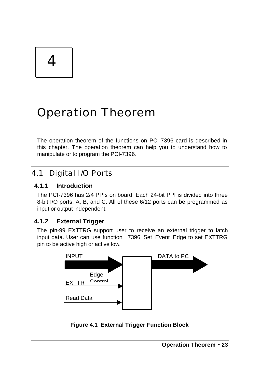# 4

# Operation Theorem

The operation theorem of the functions on PCI-7396 card is described in this chapter. The operation theorem can help you to understand how to manipulate or to program the PCI-7396.

# 4.1 Digital I/O Ports

#### **4.1.1 Introduction**

The PCI-7396 has 2/4 PPIs on board. Each 24-bit PPI is divided into three 8-bit I/O ports: A, B, and C. All of these 6/12 ports can be programmed as input or output independent.

#### **4.1.2 External Trigger**

The pin-99 EXTTRG support user to receive an external trigger to latch input data. User can use function \_7396\_Set\_Event\_Edge to set EXTTRG pin to be active high or active low.



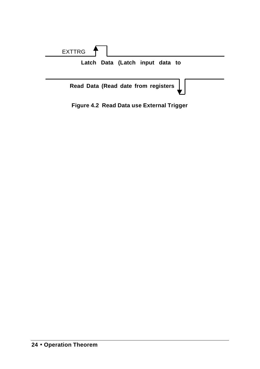| EXTTRG $\uparrow$                   |  |  |  |  |  |  |
|-------------------------------------|--|--|--|--|--|--|
| Latch Data (Latch input data to     |  |  |  |  |  |  |
|                                     |  |  |  |  |  |  |
| Read Data (Read date from registers |  |  |  |  |  |  |
|                                     |  |  |  |  |  |  |

**Figure 4.2 Read Data use External Trigger**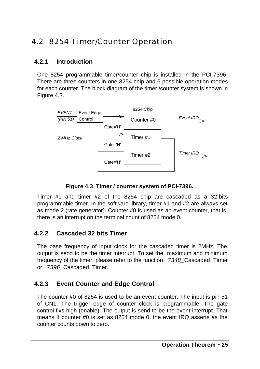# 4.2 8254 Timer/Counter Operation

#### **4.2.1 Introduction**

One 8254 programmable timer/counter chip is installed in the PCI-7396. There are three counters in one 8254 chip and 6 possible operation modes for each counter. The block diagram of the timer /counter system is shown in Figure 4.3.



**Figure 4.3 Timer / counter system of PCI-7396.**

Timer #1 and timer #2 of the 8254 chip are cascaded as a 32-bits programmable timer. In the software library, timer #1 and #2 are always set as mode 2 (rate generator). Counter #0 is used as an event counter, that is, there is an interrupt on the terminal count of 8254 mode 0.

#### **4.2.2 Cascaded 32 bits Timer**

The base frequency of input clock for the cascaded timer is 2MHz. The output is send to be the timer interrupt. To set the maximum and minimum frequency of the timer, please refer to the function \_*7348\_*Cascaded\_Timer or \_*7396\_*Cascaded\_Timer.

#### **4.2.3 Event Counter and Edge Control**

The counter #0 of 8254 is used to be an event counter. The input is pin-51 of CN1. The trigger edge of counter clock is programmable. The gate control fixs high (enable). The output is send to be the event interrupt. That means If counter #0 is set as 8254 mode 0, the event IRQ asserts as the counter counts down to zero.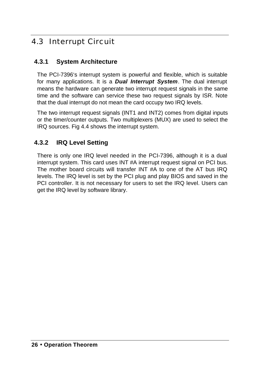# 4.3 Interrupt Circuit

#### **4.3.1 System Architecture**

The PCI-7396's interrupt system is powerful and flexible, which is suitable for many applications. It is a *Dual Interrupt System*. The dual interrupt means the hardware can generate two interrupt request signals in the same time and the software can service these two request signals by ISR. Note that the dual interrupt do not mean the card occupy two IRQ levels.

The two interrupt request signals (INT1 and INT2) comes from digital inputs or the timer/counter outputs. Two multiplexers (MUX) are used to select the IRQ sources. Fig 4.4 shows the interrupt system.

#### **4.3.2 IRQ Level Setting**

There is only one IRQ level needed in the PCI-7396, although it is a dual interrupt system. This card uses INT #A interrupt request signal on PCI bus. The mother board circuits will transfer INT #A to one of the AT bus IRQ levels. The IRQ level is set by the PCI plug and play BIOS and saved in the PCI controller. It is not necessary for users to set the IRQ level. Users can get the IRQ level by software library.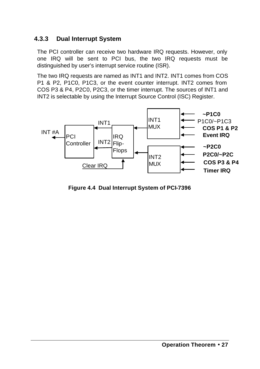#### **4.3.3 Dual Interrupt System**

The PCI controller can receive two hardware IRQ requests. However, only one IRQ will be sent to PCI bus, the two IRQ requests must be distinguished by user's interrupt service routine (ISR).

The two IRQ requests are named as INT1 and INT2. INT1 comes from COS P1 & P2, P1C0, P1C3, or the event counter interrupt. INT2 comes from COS P3 & P4, P2C0, P2C3, or the timer interrupt. The sources of INT1 and INT2 is selectable by using the Interrupt Source Control (ISC) Register.



**Figure 4.4 Dual Interrupt System of PCI-7396**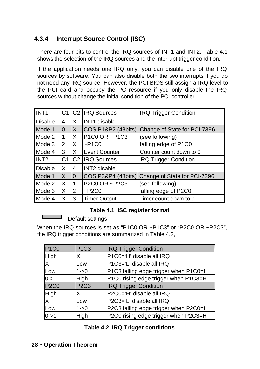## **4.3.4 Interrupt Source Control (ISC)**

There are four bits to control the IRQ sources of INT1 and INT2. Table 4.1 shows the selection of the IRQ sources and the interrupt trigger condition.

If the application needs one IRQ only, you can disable one of the IRQ sources by software. You can also disable both the two interrupts If you do not need any IRQ source. However, the PCI BIOS still assign a IRQ level to the PCI card and occupy the PC resource if you only disable the IRQ sources without change the initial condition of the PCI controller.

| INT <sub>1</sub> | C1             |     | <b>C<sub>2</sub></b> IRQ Sources | <b>IRQ Trigger Condition</b> |
|------------------|----------------|-----|----------------------------------|------------------------------|
| <b>Disable</b>   | 4              | X   | <b>INT1</b> disable              | --                           |
| Mode 1           | $\overline{0}$ | X   | COS P1&P2 (48bits)               | Change of State for PCI-7396 |
| Mode 2           | 1              | X   | P1C0 OR ~P1C3                    | (see following)              |
| Mode 3           | 2              | X   | $~\sim$ P1C0                     | falling edge of P1C0         |
| Mode 4           | 3              | х   | <b>Event Counter</b>             | Counter count down to 0      |
| INT <sub>2</sub> | C1             | IC2 | <b>IRQ Sources</b>               | <b>IRQ Trigger Condition</b> |
| <b>Disable</b>   | X              | 4   | INT2 disable                     |                              |
| Mode 1           | X              | 10  | COS P3&P4 (48bits)               | Change of State for PCI-7396 |
| Mode 2           | X              |     | P2C0 OR ~P2C3                    | (see following)              |
| Mode 3           | X              | 2   | $~\sim$ P2C0                     | falling edge of P2C0         |
| Mode 4           | Χ              | 3   | <b>Timer Output</b>              | Timer count down to 0        |

#### **Table 4.1 ISC register format**

Default settings

When the IRQ sources is set as "P1C0 OR ~P1C3" or "P2C0 OR ~P2C3", the IRQ trigger conditions are summarized in Table 4.2,

| P1C0      | <b>P1C3</b> | <b>IRQ Trigger Condition</b>          |
|-----------|-------------|---------------------------------------|
| High      | х           | P1C0='H' disable all IRQ              |
| IX.       | Low         | P1C3='L' disable all IRQ              |
| Low       | $1 - 0$     | P1C3 falling edge trigger when P1C0=L |
| $0 - > 1$ | High        | P1C0 rising edge trigger when P1C3=H  |
| P2C0      | <b>P2C3</b> | <b>IRQ Trigger Condition</b>          |
| High      | X           | P2C0='H' disable all IRQ              |
| $\times$  | Low         | P2C3='L' disable all IRQ              |
| Low       | $1 - 0$     | P2C3 falling edge trigger when P2C0=L |
| $0 - > 1$ | High        | P2C0 rising edge trigger when P2C3=H  |

|  |  |  | Table 4.2 IRQ Trigger conditions |
|--|--|--|----------------------------------|
|--|--|--|----------------------------------|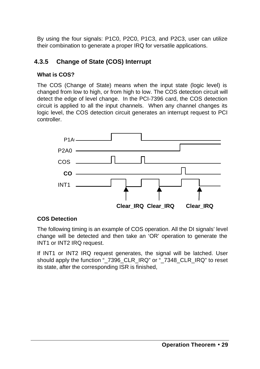By using the four signals: P1C0, P2C0, P1C3, and P2C3, user can utilize their combination to generate a proper IRQ for versatile applications.

#### **4.3.5 Change of State (COS) Interrupt**

#### **What is COS?**

The COS (Change of State) means when the input state (logic level) is changed from low to high, or from high to low. The COS detection circuit will detect the edge of level change. In the PCI-7396 card, the COS detection circuit is applied to all the input channels. When any channel changes its logic level, the COS detection circuit generates an interrupt request to PCI controller.



#### **COS Detection**

The following timing is an example of COS operation. All the DI signals' level change will be detected and then take an 'OR' operation to generate the INT1 or INT2 IRQ request.

If INT1 or INT2 IRQ request generates, the signal will be latched. User should apply the function "\_7396\_CLR\_IRQ" or "\_7348\_CLR\_IRQ" to reset its state, after the corresponding ISR is finished,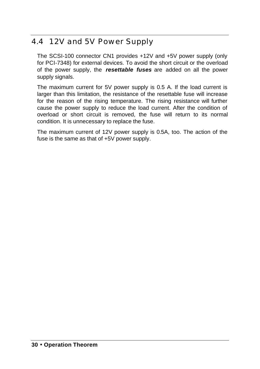# 4.4 12V and 5V Power Supply

The SCSI-100 connector CN1 provides +12V and +5V power supply (only for PCI-7348) for external devices. To avoid the short circuit or the overload of the power supply, the *resettable fuses* are added on all the power supply signals.

The maximum current for 5V power supply is 0.5 A. If the load current is larger than this limitation, the resistance of the resettable fuse will increase for the reason of the rising temperature. The rising resistance will further cause the power supply to reduce the load current. After the condition of overload or short circuit is removed, the fuse will return to its normal condition. It is unnecessary to replace the fuse.

The maximum current of 12V power supply is 0.5A, too. The action of the fuse is the same as that of +5V power supply.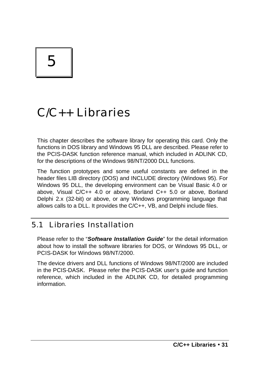# 5

# $C/C_{++}$  Libraries

This chapter describes the software library for operating this card. Only the functions in DOS library and Windows 95 DLL are described. Please refer to the PCIS-DASK function reference manual, which included in ADLINK CD, for the descriptions of the Windows 98/NT/2000 DLL functions.

The function prototypes and some useful constants are defined in the header files LIB directory (DOS) and INCLUDE directory (Windows 95). For Windows 95 DLL, the developing environment can be Visual Basic 4.0 or above, Visual C/C++ 4.0 or above, Borland C++ 5.0 or above, Borland Delphi 2.x (32-bit) or above, or any Windows programming language that allows calls to a DLL. It provides the C/C++, VB, and Delphi include files.

# 5.1 Libraries Installation

Please refer to the "*Software Installation Guide*" for the detail information about how to install the software libraries for DOS, or Windows 95 DLL, or PCIS-DASK for Windows 98/NT/2000.

The device drivers and DLL functions of Windows 98/NT/2000 are included in the PCIS-DASK. Please refer the PCIS-DASK user's guide and function reference, which included in the ADLINK CD, for detailed programming information.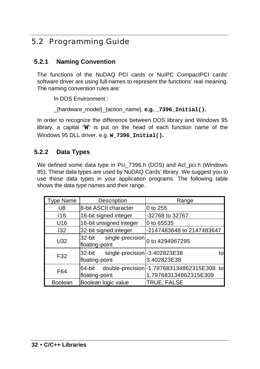# 5.2 Programming Guide

#### **5.2.1 Naming Convention**

The functions of the NuDAQ PCI cards or NuIPC CompactPCI cards' software driver are using full-names to represent the functions' real meaning. The naming convention rules are:

In DOS Environment :

\_{hardware\_model}\_{action\_name}. **e.g. \_7396\_Initial().**

In order to recognize the difference between DOS library and Windows 95 library, a capital "**W**" is put on the head of each function name of the Windows 95 DLL driver. e.g. **W\_7396\_Initial().**

#### **5.2.2 Data Types**

We defined some data type in Pci 7396.h (DOS) and Acl\_pci.h (Windows 95). These data types are used by NuDAQ Cards' library. We suggest you to use these data types in your application programs. The following table shows the data type names and their range.

| <b>Type Name</b> | Description                                                | Range                                                                |  |  |
|------------------|------------------------------------------------------------|----------------------------------------------------------------------|--|--|
| U8               | 8-bit ASCII character                                      | 0 to 255                                                             |  |  |
| 116              | 16-bit signed integer                                      | -32768 to 32767                                                      |  |  |
| U <sub>16</sub>  | 16-bit unsigned integer                                    | 0 to 65535                                                           |  |  |
| 132              | 32-bit signed integer                                      | -2147483648 to 2147483647                                            |  |  |
| U32              | 32-bit<br>floating-point                                   | $\overline{\text{single-precision}}$ <sub>0</sub> to 4294967295      |  |  |
| F32              | single-precision - 3.402823E38<br>32-bit<br>floating-point | tol<br>3.402823E38                                                   |  |  |
| F64              | 64-bit<br>floating-point                                   | double-precision - 1.797683134862315E308 to<br>1.797683134862315E309 |  |  |
| <b>Boolean</b>   | Boolean logic value                                        | TRUE, FALSE                                                          |  |  |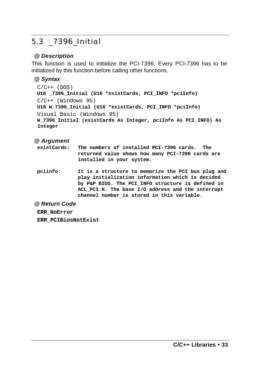# 5.3 \_7396\_Initial

#### *@ Description*

This function is used to initialize the PCI-7396. Every PCI-7396 has to be initialized by this function before calling other functions.

#### *@ Syntax*

```
C/C++ (DOS)
U16 _7396_Initial (U16 *existCards, PCI_INFO *pciInfo)
C/C++ (Windows 95)
U16 W_7396_Initial (U16 *existCards, PCI_INFO *pciInfo)
Visual Basic (Windows 95)
W_7396_Initial (existCards As Integer, pciInfo As PCI_INFO) As 
Integer
```
#### *@ Argument*

- **existCards: The numbers of installed PCI-7396 cards. The returned value shows how many PCI-7396 cards are installed in your system.**
- **pciinfo: It is a structure to memorize the PCI bus plug and play initialization information which is decided by P&P BIOS. The PCI\_INFO structure is defined in ACL\_PCI.H. The base I/O address and the interrupt channel number is stored in this variable.**

*@ Return Code*

**ERR\_NoError**

**ERR\_PCIBiosNotExist**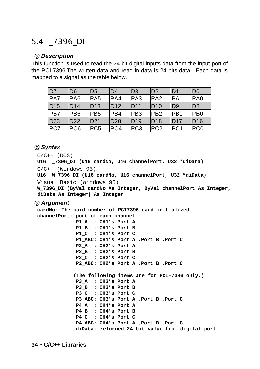# 5.4 \_7396\_DI

#### *@ Description*

This function is used to read the 24-bit digital inputs data from the input port of the PCI-7396.The written data and read in data is 24 bits data. Each data is mapped to a signal as the table below.

| $\overline{D7}$ | D <sub>6</sub>  | D <sub>5</sub>  | D <sub>4</sub>  | D <sub>3</sub>  | D <sub>2</sub>   | D <sub>1</sub>  | D <sub>0</sub>  |
|-----------------|-----------------|-----------------|-----------------|-----------------|------------------|-----------------|-----------------|
| PA7             | PA <sub>6</sub> | PA <sub>5</sub> | PA4             | PA <sub>3</sub> | <b>PA2</b>       | PA <sub>1</sub> | PA <sub>0</sub> |
| D <sub>15</sub> | D14             | D <sub>13</sub> | D <sub>12</sub> | D <sub>11</sub> | ID10             | D <sub>9</sub>  | D <sub>8</sub>  |
| PB7             | PB <sub>6</sub> | PB <sub>5</sub> | PB4             | PB <sub>3</sub> | <b>PB2</b>       | PB <sub>1</sub> | P <sub>B0</sub> |
| D <sub>23</sub> | D <sub>22</sub> | D <sub>21</sub> | <b>D20</b>      | D <sub>19</sub> | ID18             | <b>D17</b>      | D <sub>16</sub> |
| PC7             | PC <sub>6</sub> | PC <sub>5</sub> | PC4             | PC <sub>3</sub> | IPC <sub>2</sub> | PC <sub>1</sub> | PC <sub>0</sub> |

#### *@ Syntax*

 $C/C++$  (DOS)

**U16 \_7396\_DI (U16 cardNo, U16 channelPort, U32 \*diData)**  $C/C++$  (Windows 95) **U16 W\_7396\_DI (U16 cardNo, U16 channelPort, U32 \*diData)** Visual Basic (Windows 95) **W\_7396\_DI (ByVal cardNo As Integer, ByVal channelPort As Integer, diData As Integer) As Integer**

#### *@ Argument*

**cardNo: The card number of PCI7396 card initialized.**

**channelPort: port of each channel P1\_A : CH1's Port A P1\_B : CH1's Port B P1\_C : CH1's Port C P1\_ABC: CH1's Port A ,Port B ,Port C P2\_A : CH2's Port A P2\_B : CH2's Port B P2\_C : CH2's Port C P2\_ABC: CH2's Port A ,Port B ,Port C (The following items are for PCI-7396 only.) P3\_A : CH3's Port A P3\_B : CH3's Port B P3\_C : CH3's Port C P3\_ABC: CH3's Port A ,Port B ,Port C P4\_A : CH4's Port A P4\_B : CH4's Port B P4\_C : CH4's Port C P4\_ABC: CH4's Port A ,Port B ,Port C diData: returned 24-bit value from digital port.**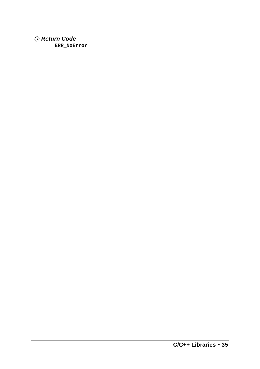#### *@ Return Code*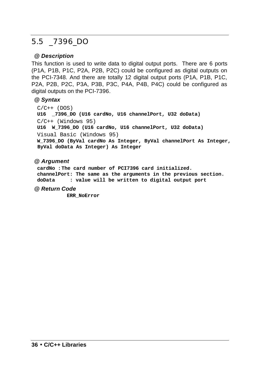### 5.5 \_7396\_DO

#### *@ Description*

This function is used to write data to digital output ports. There are 6 ports (P1A, P1B, P1C, P2A, P2B, P2C) could be configured as digital outputs on the PCI-7348. And there are totally 12 digital output ports (P1A, P1B, P1C, P2A, P2B, P2C, P3A, P3B, P3C, P4A, P4B, P4C) could be configured as digital outputs on the PCI-7396.

#### *@ Syntax*

 $C/C++$  (DOS) **U16 \_7396\_DO (U16 cardNo, U16 channelPort, U32 doData)** C/C++ (Windows 95) **U16 W\_7396\_DO (U16 cardNo, U16 channelPort, U32 doData)** Visual Basic (Windows 95) **W\_7396\_DO (ByVal cardNo As Integer, ByVal channelPort As Integer, ByVal doData As Integer) As Integer**

#### *@ Argument*

**cardNo :The card number of PCI7396 card initialized. channelPort: The same as the arguments in the previous section. doData : value will be written to digital output port**

#### *@ Return Code*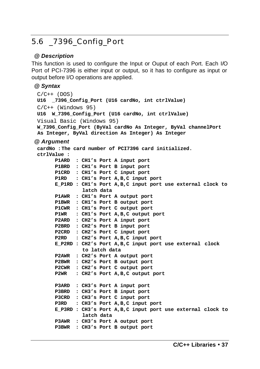# 5.6 \_7396\_Config\_Port

#### *@ Description*

This function is used to configure the Input or Ouput of each Port. Each I/O Port of PCI-7396 is either input or output, so it has to configure as input or output before I/O operations are applied.

#### *@ Syntax*

```
C/C++ (DOS)
U16 _7396_Config_Port (U16 cardNo, int ctrlValue)
C/C_{++} (Windows 95)
U16 W_7396_Config_Port (U16 cardNo, int ctrlValue)
Visual Basic (Windows 95)
W_7396_Config_Port (ByVal cardNo As Integer, ByVal channelPort 
As Integer, ByVal direction As Integer) As Integer
@ Argument
cardNo :The card number of PCI7396 card initialized.
ctrlValue : 
       P1ARD : CH1's Port A input port
       P1BRD : CH1's Port B input port
       P1CRD : CH1's Port C input port
       P1RD : CH1's Port A,B,C input port
       E_P1RD : CH1's Port A,B,C input port use external clock to 
                latch data
       P1AWR : CH1's Port A output port
       P1BWR : CH1's Port B output port
       P1CWR : CH1's Port C output port
       P1WR : CH1's Port A,B,C output port
       P2ARD : CH2's Port A input port
       P2BRD : CH2's Port B input port
       P2CRD : CH2's Port C input port
       P2RD : CH2's Port A,B,C input port
       E_P2RD : CH2's Port A,B,C input port use external clock 
               to latch data
       P2AWR : CH2's Port A output port
       P2BWR : CH2's Port B output port
       P2CWR : CH2's Port C output port
       P2WR : CH2's Port A,B,C output port
       P3ARD : CH3's Port A input port
       P3BRD : CH3's Port B input port
       P3CRD : CH3's Port C input port
       P3RD : CH3's Port A,B,C input port
       E_P3RD : CH3's Port A,B,C input port use external clock to 
                latch data
       P3AWR : CH3's Port A output port
       P3BWR : CH3's Port B output port
```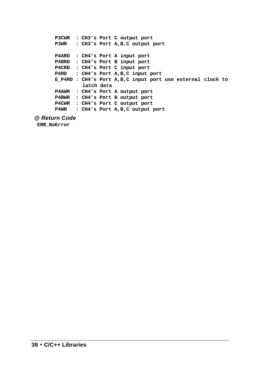```
 P3CWR : CH3's Port C output port
 P3WR : CH3's Port A,B,C output port
 P4ARD : CH4's Port A input port
 P4BRD : CH4's Port B input port
 P4CRD : CH4's Port C input port
 P4RD : CH4's Port A,B,C input port
 E_P4RD : CH4's Port A,B,C input port use external clock to 
         latch data
 P4AWR : CH4's Port A output port
 P4BWR : CH4's Port B output port
 P4CWR : CH4's Port C output port
 P4WR : CH4's Port A,B,C output port
```
#### *@ Return Code*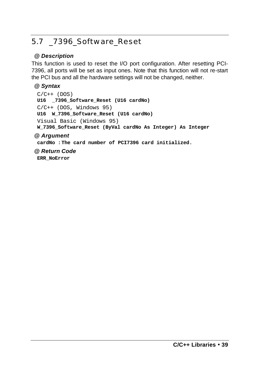# 5.7 \_7396\_Software\_Reset

#### *@ Description*

This function is used to reset the I/O port configuration. After resetting PCI-7396, all ports will be set as input ones. Note that this function will not re-start the PCI bus and all the hardware settings will not be changed, neither.

#### *@ Syntax*

 $C/C++$  (DOS) **U16 \_7396\_Software\_Reset (U16 cardNo)** C/C++ (DOS, Windows 95) **U16 W\_7396\_Software\_Reset (U16 cardNo)** Visual Basic (Windows 95) **W\_7396\_Software\_Reset (ByVal cardNo As Integer) As Integer**

#### *@ Argument*

**cardNo :The card number of PCI7396 card initialized.**

#### *@ Return Code*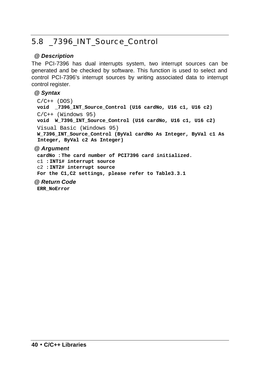# 5.8 \_7396\_INT\_Source\_Control

#### *@ Description*

The PCI-7396 has dual interrupts system, two interrupt sources can be generated and be checked by software. This function is used to select and control PCI-7396's interrupt sources by writing associated data to interrupt control register.

#### *@ Syntax*

```
C/C++ (DOS)
void _7396_INT_Source_Control (U16 cardNo, U16 c1, U16 c2)
C/C++ (Windows 95)
void W_7396_INT_Source_Control (U16 cardNo, U16 c1, U16 c2)
Visual Basic (Windows 95)
W_7396_INT_Source_Control (ByVal cardNo As Integer, ByVal c1 As 
Integer, ByVal c2 As Integer)
```
#### *@ Argument*

**cardNo :The card number of PCI7396 card initialized.** c1 **:INT1# interrupt source** c2 **:INT2# interrupt source For the C1,C2 settings, please refer to Table3.3.1**

*@ Return Code*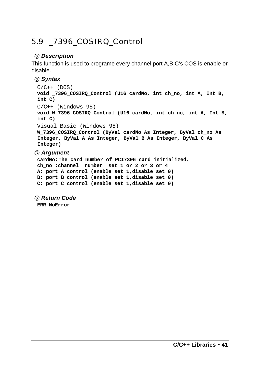# 5.9 \_7396\_COSIRQ\_Control

#### *@ Description*

This function is used to programe every channel port A,B,C's COS is enable or disable.

#### *@ Syntax*

```
C/C++ (DOS)
void _7396_COSIRQ_Control (U16 cardNo, int ch_no, int A, Int B, 
int C)
C/C++ (Windows 95)
void W_7396_COSIRQ_Control (U16 cardNo, int ch_no, int A, Int B, 
int C)
Visual Basic (Windows 95)
W_7396_COSIRQ_Control (ByVal cardNo As Integer, ByVal ch_no As 
Integer, ByVal A As Integer, ByVal B As Integer, ByVal C As 
Integer)
```
#### *@ Argument*

**cardNo:The card number of PCI7396 card initialized. ch\_no :channel number set 1 or 2 or 3 or 4 A: port A control (enable set 1,disable set 0) B: port B control (enable set 1,disable set 0) C: port C control (enable set 1,disable set 0)**

#### *@ Return Code*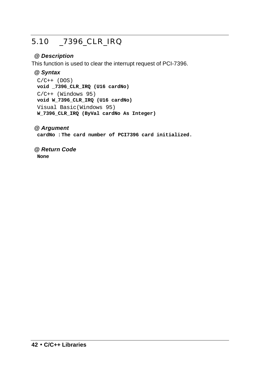# 5.10 \_7396\_CLR\_IRQ

#### *@ Description*

This function is used to clear the interrupt request of PCI-7396.

#### *@ Syntax*

 $C/C++$  (DOS) **void \_7396\_CLR\_IRQ (U16 cardNo)**   $C/C++$  (Windows 95) **void W\_7396\_CLR\_IRQ (U16 cardNo)** Visual Basic(Windows 95) **W\_7396\_CLR\_IRQ (ByVal cardNo As Integer)** 

#### *@ Argument*

**cardNo :The card number of PCI7396 card initialized.**

#### *@ Return Code*

**None**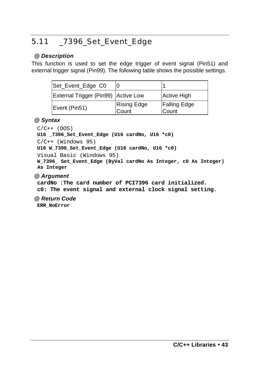# 5.11 \_7396\_Set\_Event\_Edge

#### *@ Description*

This function is used to set the edge trigger of event signal (Pin51) and external trigger signal (Pin99). The following table shows the possible settings.

| Set_Event_Edge C0                   |                             |                              |
|-------------------------------------|-----------------------------|------------------------------|
| External Trigger (Pin99) Active Low |                             | <b>Active High</b>           |
| Event (Pin51)                       | <b>Rising Edge</b><br>Count | <b>Falling Edge</b><br>Count |

#### *@ Syntax*

```
C/C++ (DOS)
U16 _7396_Set_Event_Edge (U16 cardNo, U16 *c0) 
C/C++ (Windows 95)
U16 W_7396_Set_Event_Edge (U16 cardNo, U16 *c0)
Visual Basic (Windows 95)
W_7396_ Set_Event_Edge (ByVal cardNo As Integer, c0 As Integer) 
As Integer
```
#### *@ Argument*

```
cardNo :The card number of PCI7396 card initialized.
c0: The event signal and external clock signal setting.
```
#### *@ Return Code*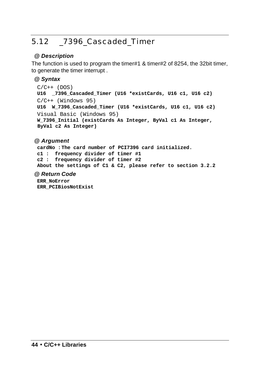# 5.12 \_7396\_Cascaded\_Timer

#### *@ Description*

The function is used to program the timer#1 & timer#2 of 8254, the 32bit timer, to generate the timer interrupt .

#### *@ Syntax*

```
C/C++ (DOS)
U16 _7396_Cascaded_Timer (U16 *existCards, U16 c1, U16 c2)
C/C++ (Windows 95)
U16 W_7396_Cascaded_Timer (U16 *existCards, U16 c1, U16 c2)
Visual Basic (Windows 95)
W_7396_Initial (existCards As Integer, ByVal c1 As Integer, 
ByVal c2 As Integer)
```
#### *@ Argument*

**cardNo :The card number of PCI7396 card initialized. c1 : frequency divider of timer #1 c2 : frequency divider of timer #2 About the settings of C1 & C2, please refer to section 3.2.2** 

#### *@ Return Code*

**ERR\_NoError ERR\_PCIBiosNotExist**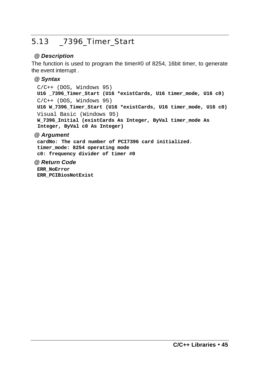## 5.13 \_7396\_Timer\_Start

#### *@ Description*

The function is used to program the timer#0 of 8254, 16bit timer, to generate the event interrupt .

#### *@ Syntax*

C/C++ (DOS, Windows 95) **U16 \_7396\_Timer\_Start (U16 \*existCards, U16 timer\_mode, U16 c0)** C/C++ (DOS, Windows 95) **U16 W\_7396\_Timer\_Start (U16 \*existCards, U16 timer\_mode, U16 c0)** Visual Basic (Windows 95) **W\_7396\_Initial (existCards As Integer, ByVal timer\_mode As Integer, ByVal c0 As Integer)** 

#### *@ Argument*

**cardNo: The card number of PCI7396 card initialized. timer\_mode: 8254 operating mode c0: frequency divider of timer #0** 

#### *@ Return Code*

**ERR\_NoError ERR\_PCIBiosNotExist**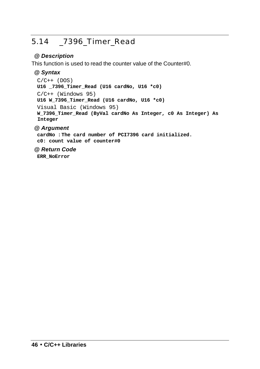# 5.14 \_7396\_Timer\_Read

#### *@ Description*

This function is used to read the counter value of the Counter#0.

#### *@ Syntax*

 $C/C++$  (DOS) **U16 \_7396\_Timer\_Read (U16 cardNo, U16 \*c0)**   $C/C++$  (Windows 95) **U16 W\_7396\_Timer\_Read (U16 cardNo, U16 \*c0)**  Visual Basic (Windows 95) **W\_7396\_Timer\_Read (ByVal cardNo As Integer, c0 As Integer) As Integer** 

#### *@ Argument*

**cardNo :The card number of PCI7396 card initialized. c0: count value of counter#0**

#### *@ Return Code*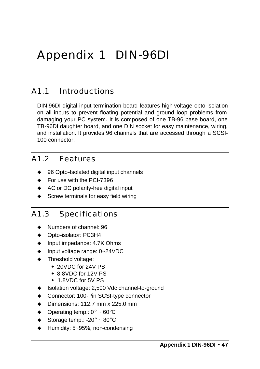# Appendix 1 DIN-96DI

### A1.1 Introductions

DIN-96DI digital input termination board features high-voltage opto-isolation on all inputs to prevent floating potential and ground loop problems from damaging your PC system. It is composed of one TB-96 base board, one TB-96DI daughter board, and one DIN socket for easy maintenance, wiring, and installation. It provides 96 channels that are accessed through a SCSI-100 connector.

## A1.2 Features

- $\triangleq$  96 Opto-Isolated digital input channels
- $\bullet$  For use with the PCI-7396
- ◆ AC or DC polarity-free digital input
- $\triangleleft$  Screw terminals for easy field wiring

# A1.3 Specifications

- $\bullet$  Numbers of channel: 96
- ◆ Opto-isolator: PC3H4
- $\bullet$  Input impedance: 4.7K Ohms
- $\bullet$  Input voltage range: 0~24VDC
- $\blacklozenge$  Threshold voltage:
	- $\cdot$  20VDC for 24V PS
	- $\cdot$  8.8VDC for 12V PS
	- 1.8VDC for 5V PS
- $\bullet$  Isolation voltage: 2,500 Vdc channel-to-ground
- ◆ Connector: 100-Pin SCSI-type connector
- $\triangle$  Dimensions: 112.7 mm x 225.0 mm
- $\triangleleft$  Operating temp.: 0° ~ 60°C
- $\triangleleft$  Storage temp.: -20° ~ 80°C
- $\blacklozenge$  Humidity: 5~95%, non-condensing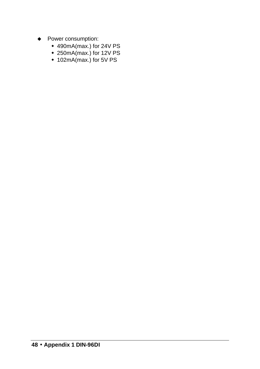- ◆ Power consumption:
	- $\bullet$  490mA(max.) for 24V PS
	- $\bullet$  250mA(max.) for 12V PS
	- $\bullet$  102mA(max.) for 5V PS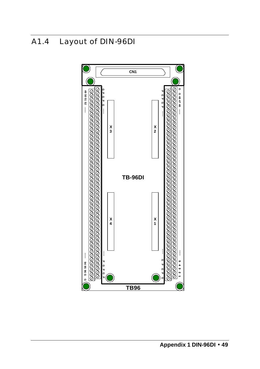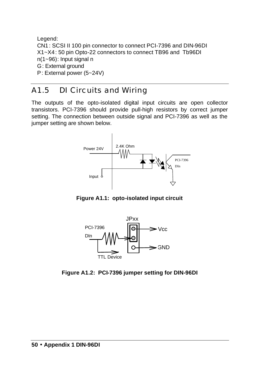Legend: CN1 : SCSI II 100 pin connector to connect PCI-7396 and DIN-96DI X1~X4: 50 pin Opto-22 connectors to connect TB96 and Tb96DI n(1~96): Input signal n G: External ground P: External power (5~24V)

# A1.5 DI Circuits and Wiring

The outputs of the opto-isolated digital input circuits are open collector transistors. PCI-7396 should provide pull-high resistors by correct jumper setting. The connection between outside signal and PCI-7396 as well as the jumper setting are shown below.



**Figure A1.1: opto-isolated input circuit**



**Figure A1.2: PCI-7396 jumper setting for DIN-96DI**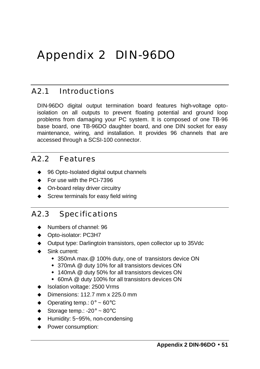# Appendix 2 DIN-96DO

### A2.1 Introductions

DIN-96DO digital output termination board features high-voltage optoisolation on all outputs to prevent floating potential and ground loop problems from damaging your PC system. It is composed of one TB-96 base board, one TB-96DO daughter board, and one DIN socket for easy maintenance, wiring, and installation. It provides 96 channels that are accessed through a SCSI-100 connector.

## A2.2 Features

- $\triangleq$  96 Opto-Isolated digital output channels
- $\bullet$  For use with the PCI-7396
- $\triangleleft$  On-board relay driver circuitry
- $\triangleleft$  Screw terminals for easy field wiring

# A2.3 Specifications

- $\bullet$  Numbers of channel: 96
- ◆ Opto-isolator: PC3H7
- $\blacklozenge$  Output type: Darlingtoin transistors, open collector up to 35Vdc
- $\bullet$  Sink current:
	- 350mA max.@ 100% duty, one of transistors device ON
	- 370mA @ duty 10% for all transistors devices ON
	- 140mA @ duty 50% for all transistors devices ON
	- 60mA @ duty 100% for all transistors devices ON
- ◆ Isolation voltage: 2500 Vrms
- $\bullet$  Dimensions: 112.7 mm x 225.0 mm
- $\triangleleft$  Operating temp.: 0° ~ 60°C
- $\triangleleft$  Storage temp.: -20° ~ 80°C
- $\blacklozenge$  Humidity: 5~95%, non-condensing
- ◆ Power consumption: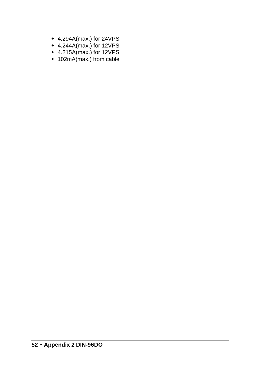- $\cdot$  4.294A(max.) for 24VPS
- $\bullet$  4.244A(max.) for 12VPS
- $\bullet$  4.215A(max.) for 12VPS
- $\bullet$  102mA(max.) from cable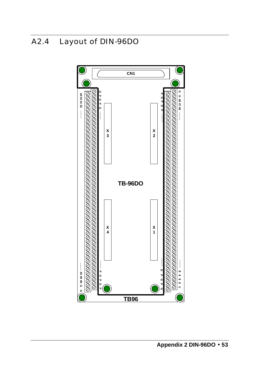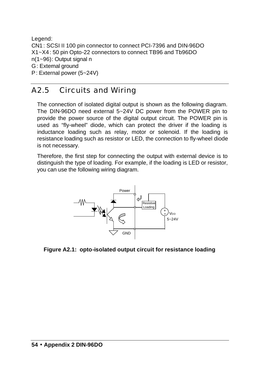Legend: CN1 : SCSI II 100 pin connector to connect PCI-7396 and DIN-96DO X1~X4: 50 pin Opto-22 connectors to connect TB96 and Tb96DO n(1~96): Output signal n G: External ground P: External power (5~24V)

# A2.5 Circuits and Wiring

The connection of isolated digital output is shown as the following diagram. The DIN-96DO need external 5~24V DC power from the POWER pin to provide the power source of the digital output circuit. The POWER pin is used as "fly-wheel" diode, which can protect the driver if the loading is inductance loading such as relay, motor or solenoid. If the loading is resistance loading such as resistor or LED, the connection to fly-wheel diode is not necessary.

Therefore, the first step for connecting the output with external device is to distinguish the type of loading. For example, if the loading is LED or resistor, you can use the following wiring diagram.



**Figure A2.1: opto-isolated output circuit for resistance loading**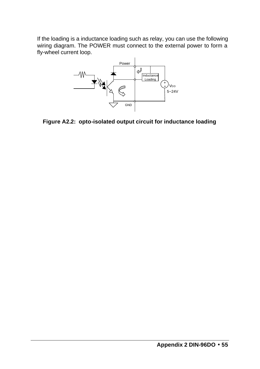If the loading is a inductance loading such as relay, you can use the following wiring diagram. The POWER must connect to the external power to form a fly-wheel current loop.



**Figure A2.2: opto-isolated output circuit for inductance loading**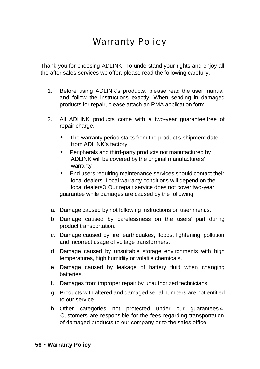# Warranty Policy

Thank you for choosing ADLINK. To understand your rights and enjoy all the after-sales services we offer, please read the following carefully.

- 1. Before using ADLINK's products, please read the user manual and follow the instructions exactly. When sending in damaged products for repair, please attach an RMA application form.
- 2. All ADLINK products come with a two-year guarantee,free of repair charge.
	- The warranty period starts from the product's shipment date from ADLINK's factory
	- Peripherals and third-party products not manufactured by ADLINK will be covered by the original manufacturers' warranty
	- End users requiring maintenance services should contact their local dealers. Local warranty conditions will depend on the local dealers3.Our repair service does not cover two-year guarantee while damages are caused by the following:
	- a. Damage caused by not following instructions on user menus.
	- b. Damage caused by carelessness on the users' part during product transportation.
	- c. Damage caused by fire, earthquakes, floods, lightening, pollution and incorrect usage of voltage transformers.
	- d. Damage caused by unsuitable storage environments with high temperatures, high humidity or volatile chemicals.
	- e. Damage caused by leakage of battery fluid when changing batteries.
	- f. Damages from improper repair by unauthorized technicians.
	- g. Products with altered and damaged serial numbers are not entitled to our service.
	- h. Other categories not protected under our guarantees.4. Customers are responsible for the fees regarding transportation of damaged products to our company or to the sales office.